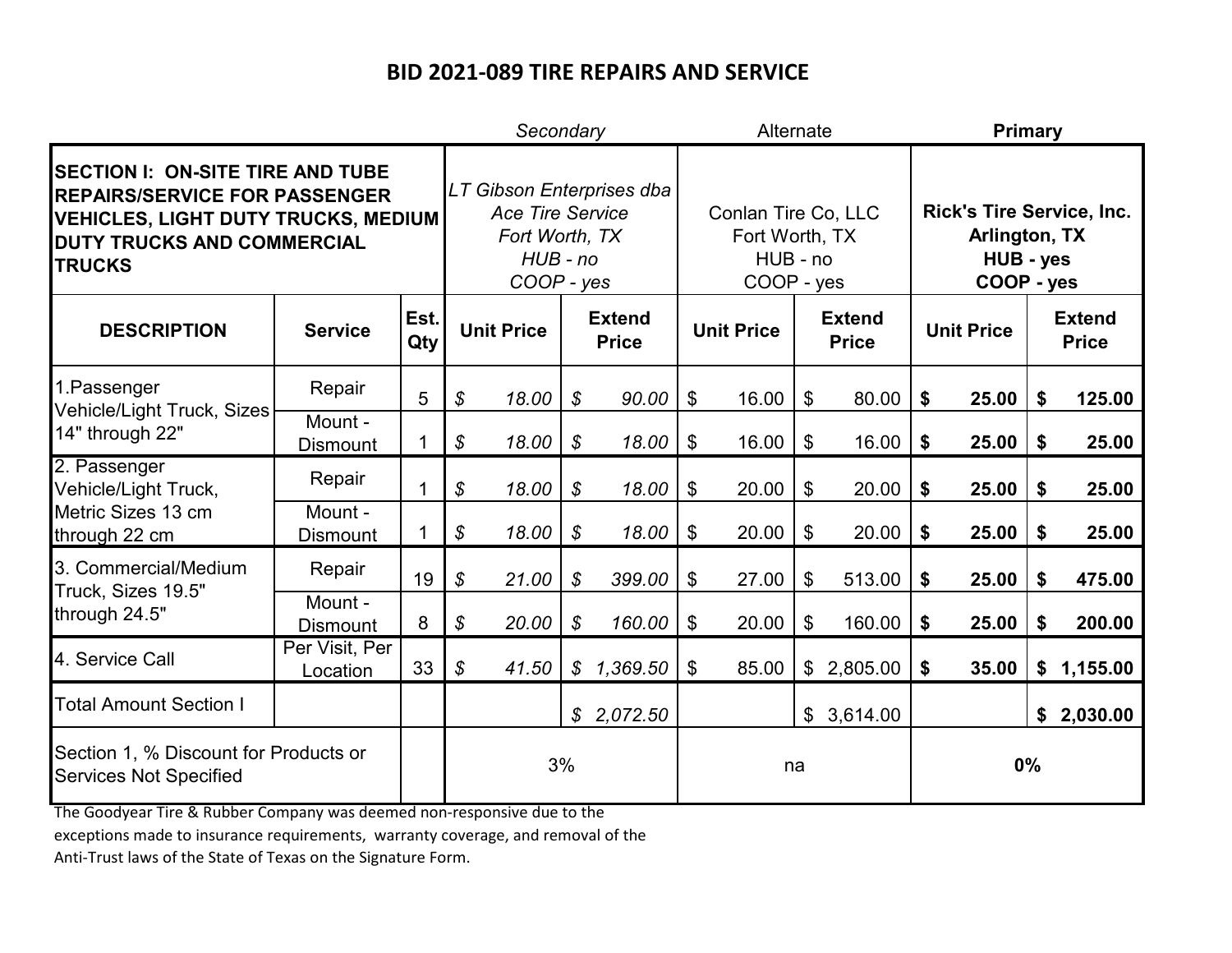|                                                                                                                                                                              |                            |             |                            | Secondary                                                             |                            |                               |                                                                 | Alternate         |                               |          | <b>Primary</b>                                                               |                   |                           |                               |  |
|------------------------------------------------------------------------------------------------------------------------------------------------------------------------------|----------------------------|-------------|----------------------------|-----------------------------------------------------------------------|----------------------------|-------------------------------|-----------------------------------------------------------------|-------------------|-------------------------------|----------|------------------------------------------------------------------------------|-------------------|---------------------------|-------------------------------|--|
| <b>SECTION I: ON-SITE TIRE AND TUBE</b><br><b>REPAIRS/SERVICE FOR PASSENGER</b><br><b>VEHICLES, LIGHT DUTY TRUCKS, MEDIUM</b><br>DUTY TRUCKS AND COMMERCIAL<br><b>TRUCKS</b> |                            |             |                            | <b>Ace Tire Service</b><br>Fort Worth, TX<br>$HUB$ - no<br>COOP - yes |                            | LT Gibson Enterprises dba     | Conlan Tire Co, LLC<br>Fort Worth, TX<br>HUB - no<br>COOP - yes |                   |                               |          | <b>Rick's Tire Service, Inc.</b><br>Arlington, TX<br>HUB - yes<br>COOP - yes |                   |                           |                               |  |
| <b>DESCRIPTION</b>                                                                                                                                                           | <b>Service</b>             | Est.<br>Qty |                            | <b>Unit Price</b>                                                     |                            | <b>Extend</b><br><b>Price</b> |                                                                 | <b>Unit Price</b> | <b>Extend</b><br><b>Price</b> |          |                                                                              | <b>Unit Price</b> |                           | <b>Extend</b><br><b>Price</b> |  |
| 1. Passenger<br><b>Vehicle/Light Truck, Sizes</b><br>14" through 22"                                                                                                         | Repair                     | 5           | \$                         | 18.00                                                                 | $\boldsymbol{\mathcal{S}}$ | 90.00                         | $\mathfrak{L}$                                                  | 16.00             | \$                            | 80.00    | \$                                                                           | 25.00             | \$                        | 125.00                        |  |
|                                                                                                                                                                              | Mount -<br><b>Dismount</b> | 1           | \$                         | 18.00                                                                 | $\boldsymbol{\mathcal{S}}$ | 18.00                         | \$                                                              | 16.00             | \$                            | 16.00    | \$                                                                           | 25.00             | \$                        | 25.00                         |  |
| 2. Passenger<br>Vehicle/Light Truck,<br>Metric Sizes 13 cm<br>through 22 cm                                                                                                  | Repair                     |             | \$                         | 18.00                                                                 | $\boldsymbol{\mathcal{S}}$ | 18.00                         | \$                                                              | 20.00             | \$                            | 20.00    | \$                                                                           | 25.00             | \$                        | 25.00                         |  |
|                                                                                                                                                                              | Mount -<br><b>Dismount</b> |             | \$                         | 18.00                                                                 | $\boldsymbol{\mathcal{S}}$ | 18.00                         | $\mathfrak{F}$                                                  | 20.00             | \$                            | 20.00    | \$                                                                           | 25.00             | $\boldsymbol{\mathsf{s}}$ | 25.00                         |  |
| 3. Commercial/Medium<br>Truck, Sizes 19.5"<br>through 24.5"                                                                                                                  | Repair                     | 19          | \$                         | 21.00                                                                 | $\boldsymbol{\mathcal{S}}$ | 399.00                        | $\mathfrak{L}$                                                  | 27.00             | \$                            | 513.00   | \$                                                                           | 25.00             | \$                        | 475.00                        |  |
|                                                                                                                                                                              | Mount -<br><b>Dismount</b> | 8           | $\boldsymbol{\mathcal{S}}$ | 20.00                                                                 | $\boldsymbol{\mathcal{S}}$ | 160.00                        | $\mathfrak{F}$                                                  | 20.00             | \$                            | 160.00   | \$                                                                           | 25.00             | \$                        | 200.00                        |  |
| 4. Service Call                                                                                                                                                              | Per Visit, Per<br>Location | 33          | $\boldsymbol{\mathcal{S}}$ | 41.50                                                                 | \$                         | 1,369.50                      | $\mathfrak{F}$                                                  | 85.00             | \$                            | 2,805.00 | \$                                                                           | 35.00             | \$                        | 1,155.00                      |  |
| <b>Total Amount Section I</b>                                                                                                                                                |                            |             |                            |                                                                       |                            | \$2,072.50                    |                                                                 |                   | \$                            | 3,614.00 |                                                                              |                   |                           | \$2,030.00                    |  |
| Section 1, % Discount for Products or<br><b>Services Not Specified</b>                                                                                                       |                            | 3%          |                            |                                                                       | na                         |                               |                                                                 |                   | 0%                            |          |                                                                              |                   |                           |                               |  |

The Goodyear Tire & Rubber Company was deemed non-responsive due to the

exceptions made to insurance requirements, warranty coverage, and removal of the

Anti-Trust laws of the State of Texas on the Signature Form.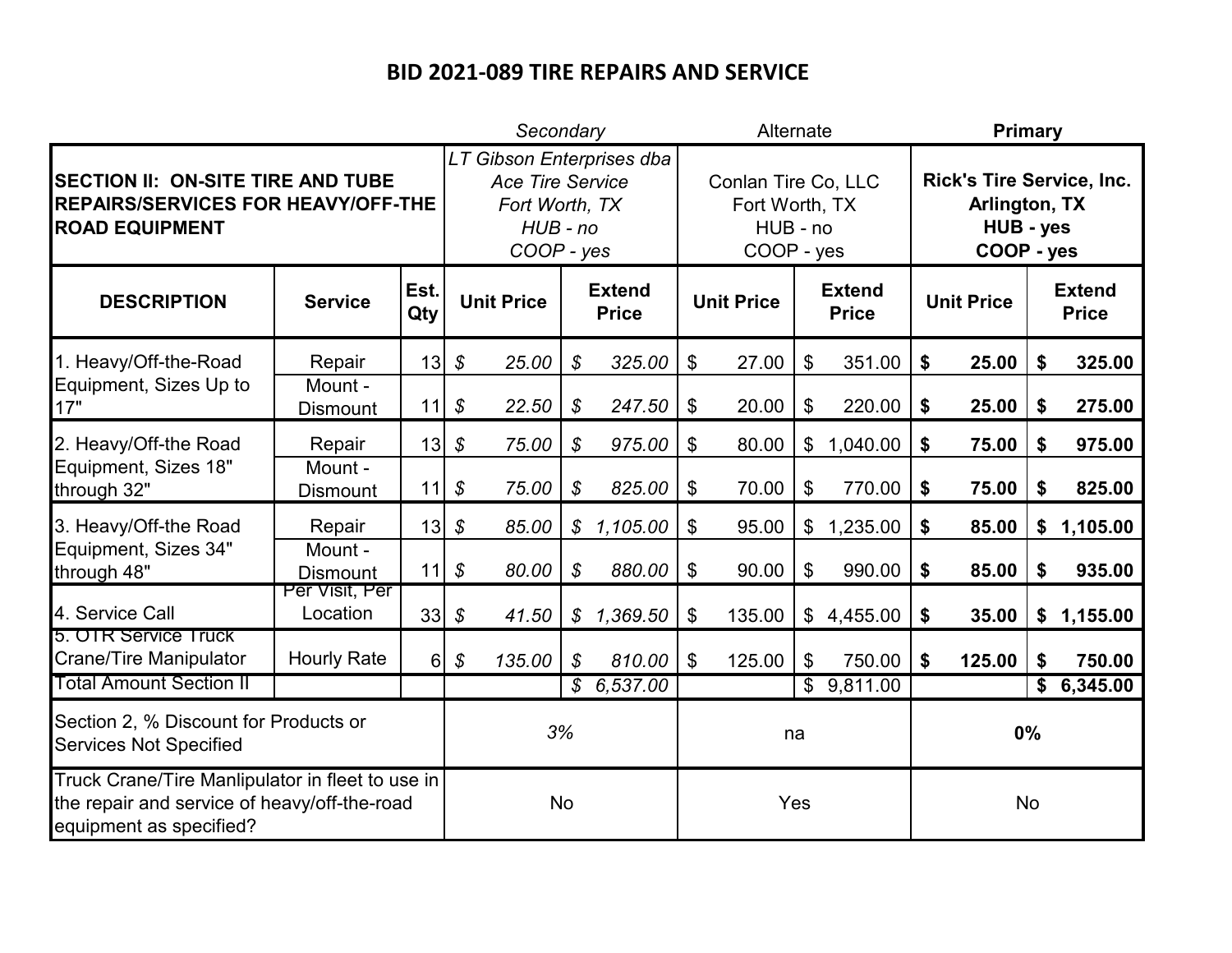|                                                                                                                             |                               |                  |                            | Secondary                                                               |                               |                                                                 | Alternate                 |        |                               |                                                                              |                   | Primary   |                               |            |  |  |
|-----------------------------------------------------------------------------------------------------------------------------|-------------------------------|------------------|----------------------------|-------------------------------------------------------------------------|-------------------------------|-----------------------------------------------------------------|---------------------------|--------|-------------------------------|------------------------------------------------------------------------------|-------------------|-----------|-------------------------------|------------|--|--|
| <b>SECTION II: ON-SITE TIRE AND TUBE</b><br><b>REPAIRS/SERVICES FOR HEAVY/OFF-THE</b><br><b>ROAD EQUIPMENT</b>              |                               |                  |                            | <b>Ace Tire Service</b><br>Fort Worth, TX<br>$HUB$ - $no$<br>COOP - yes | LT Gibson Enterprises dba     | Conlan Tire Co, LLC<br>Fort Worth, TX<br>HUB - no<br>COOP - yes |                           |        |                               | <b>Rick's Tire Service, Inc.</b><br>Arlington, TX<br>HUB - yes<br>COOP - yes |                   |           |                               |            |  |  |
| <b>DESCRIPTION</b>                                                                                                          | Est.<br><b>Service</b><br>Qty |                  | <b>Unit Price</b>          |                                                                         | <b>Extend</b><br><b>Price</b> |                                                                 | <b>Unit Price</b>         |        | <b>Extend</b><br><b>Price</b> |                                                                              | <b>Unit Price</b> |           | <b>Extend</b><br><b>Price</b> |            |  |  |
| 1. Heavy/Off-the-Road                                                                                                       | Repair                        | 13               | $\boldsymbol{\mathcal{S}}$ | 25.00                                                                   | \$                            | 325.00                                                          | \$                        | 27.00  | \$                            | 351.00                                                                       | \$                | 25.00     | \$                            | 325.00     |  |  |
| Equipment, Sizes Up to<br>17"                                                                                               | Mount -<br><b>Dismount</b>    | 11               | $\boldsymbol{\mathcal{S}}$ | 22.50                                                                   | $\boldsymbol{\mathcal{S}}$    | 247.50                                                          | $\boldsymbol{\mathsf{S}}$ | 20.00  | \$                            | 220.00                                                                       | \$                | 25.00     | \$                            | 275.00     |  |  |
| 2. Heavy/Off-the Road                                                                                                       | Repair                        | 13               | \$                         | 75.00                                                                   | $\boldsymbol{\mathcal{S}}$    | 975.00                                                          | $\boldsymbol{\mathsf{S}}$ | 80.00  |                               | \$1,040.00                                                                   | \$                | 75.00     | \$                            | 975.00     |  |  |
| Equipment, Sizes 18"<br>through 32"                                                                                         | Mount -<br><b>Dismount</b>    | 11               | $\boldsymbol{\mathcal{S}}$ | 75.00                                                                   | $\boldsymbol{\mathcal{S}}$    | 825.00                                                          | $\boldsymbol{\mathsf{S}}$ | 70.00  | \$                            | 770.00                                                                       | \$                | 75.00     | \$                            | 825.00     |  |  |
| 3. Heavy/Off-the Road                                                                                                       | Repair                        | 13               | \$                         | 85.00                                                                   | \$                            | 1,105.00                                                        | \$                        | 95.00  | \$                            | 1,235.00                                                                     | \$                | 85.00     | \$                            | 1,105.00   |  |  |
| Equipment, Sizes 34"<br>through 48"                                                                                         | Mount -<br><b>Dismount</b>    | 11               | \$                         | 80.00                                                                   | $\boldsymbol{\mathcal{S}}$    | 880.00                                                          | \$                        | 90.00  | $\boldsymbol{\mathsf{S}}$     | 990.00                                                                       | \$                | 85.00     | \$                            | 935.00     |  |  |
| 4. Service Call                                                                                                             | Per Visit, Per<br>Location    | 33               | $\boldsymbol{\mathcal{S}}$ | 41.50                                                                   |                               | \$1,369.50                                                      | \$                        | 135.00 |                               | \$4,455.00                                                                   | \$                | 35.00     |                               | \$1,155.00 |  |  |
| 5. OTR Service Truck<br><b>Crane/Tire Manipulator</b>                                                                       | <b>Hourly Rate</b>            | $6 \overline{6}$ | \$                         | 135.00                                                                  | $\boldsymbol{\mathcal{S}}$    | 810.00                                                          | $\mathfrak{L}$            | 125.00 | \$                            | 750.00                                                                       | \$                | 125.00    | \$                            | 750.00     |  |  |
| <b>Total Amount Section II</b>                                                                                              |                               |                  |                            |                                                                         |                               | \$6,537.00                                                      |                           |        |                               | \$9,811.00                                                                   |                   |           | \$                            | 6,345.00   |  |  |
| Section 2, % Discount for Products or<br><b>Services Not Specified</b>                                                      |                               |                  | 3%                         |                                                                         |                               |                                                                 |                           | na     |                               |                                                                              |                   | 0%        |                               |            |  |  |
| Truck Crane/Tire Manlipulator in fleet to use in<br>the repair and service of heavy/off-the-road<br>equipment as specified? |                               |                  | <b>No</b>                  |                                                                         |                               |                                                                 |                           | Yes    |                               |                                                                              |                   | <b>No</b> |                               |            |  |  |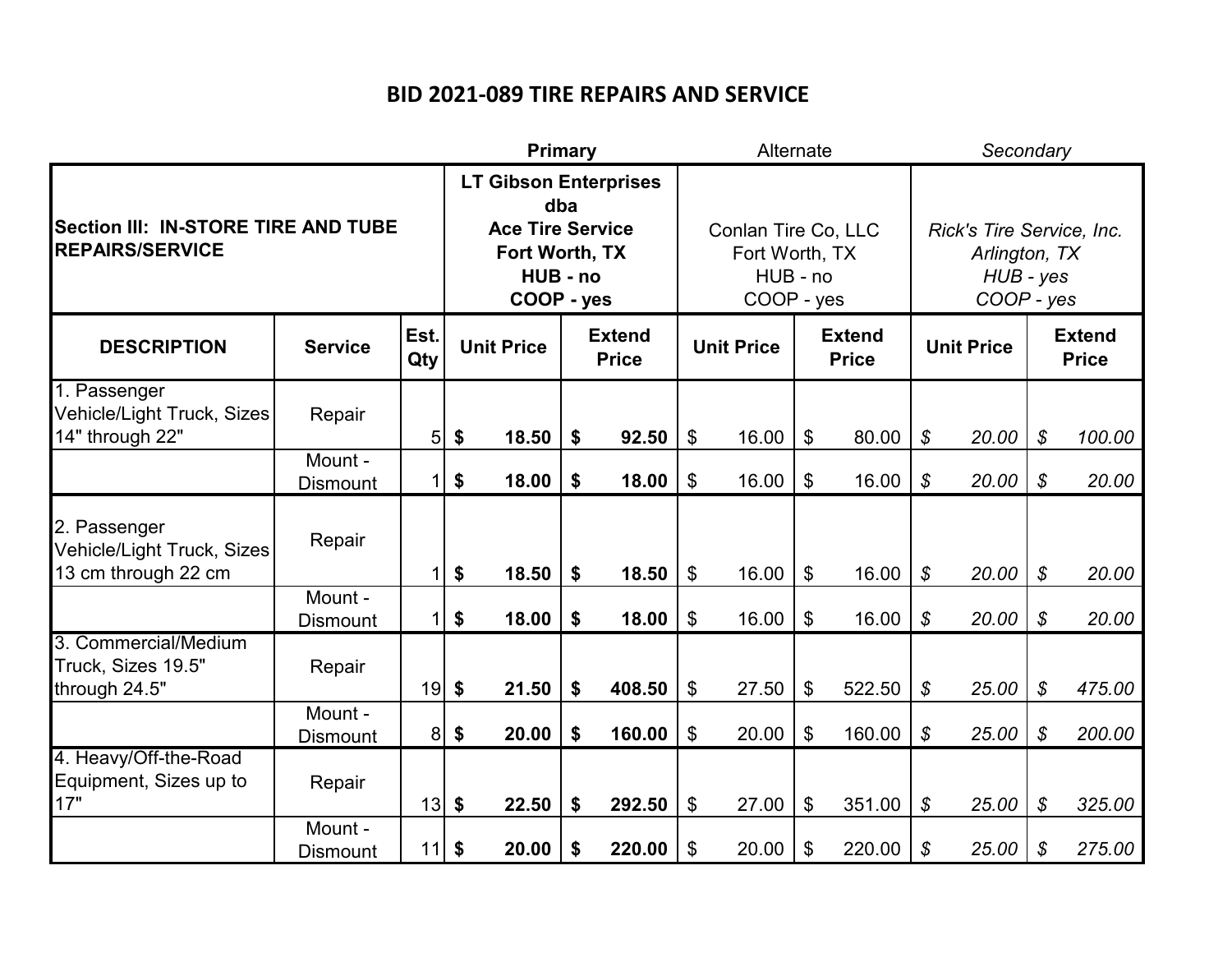|                                                                          |                               |                | <b>Primary</b>                                                                                             |       |                   |        | Alternate                     |                                                                 |                   |        |                            | Secondary                                                             |                            |        |  |  |
|--------------------------------------------------------------------------|-------------------------------|----------------|------------------------------------------------------------------------------------------------------------|-------|-------------------|--------|-------------------------------|-----------------------------------------------------------------|-------------------|--------|----------------------------|-----------------------------------------------------------------------|----------------------------|--------|--|--|
| Section III: IN-STORE TIRE AND TUBE<br><b>REPAIRS/SERVICE</b>            |                               |                | <b>LT Gibson Enterprises</b><br>dba<br><b>Ace Tire Service</b><br>Fort Worth, TX<br>HUB - no<br>COOP - yes |       |                   |        |                               | Conlan Tire Co, LLC<br>Fort Worth, TX<br>HUB - no<br>COOP - yes |                   |        |                            | Rick's Tire Service, Inc.<br>Arlington, TX<br>HUB - yes<br>COOP - yes |                            |        |  |  |
| <b>DESCRIPTION</b>                                                       | Est.<br><b>Service</b><br>Qty |                | <b>Extend</b><br><b>Unit Price</b><br><b>Price</b>                                                         |       | <b>Unit Price</b> |        | <b>Extend</b><br><b>Price</b> |                                                                 | <b>Unit Price</b> |        |                            | <b>Extend</b><br><b>Price</b>                                         |                            |        |  |  |
| 1. Passenger<br><b>Vehicle/Light Truck, Sizes</b><br>14" through 22"     | Repair                        | 5              | \$                                                                                                         | 18.50 | \$                | 92.50  | $\boldsymbol{\mathsf{S}}$     | 16.00                                                           | $\mathfrak{L}$    | 80.00  | \$                         | 20.00                                                                 | $\boldsymbol{\mathcal{S}}$ | 100.00 |  |  |
|                                                                          | Mount -<br><b>Dismount</b>    | 1              | \$                                                                                                         | 18.00 | \$                | 18.00  | $\mathfrak{F}$                | 16.00                                                           | $\mathfrak{L}$    | 16.00  | \$                         | 20.00                                                                 | $\mathcal{S}$              | 20.00  |  |  |
| 2. Passenger<br><b>Vehicle/Light Truck, Sizes</b><br>13 cm through 22 cm | Repair                        | 1              | \$                                                                                                         | 18.50 | \$                | 18.50  | $\boldsymbol{\mathsf{S}}$     | 16.00                                                           | \$                | 16.00  | $\boldsymbol{\mathcal{S}}$ | 20.00                                                                 | $\boldsymbol{\mathcal{S}}$ | 20.00  |  |  |
|                                                                          | Mount -<br><b>Dismount</b>    | $\mathbf{1}$   | \$                                                                                                         | 18.00 | \$                | 18.00  | $\$\$                         | 16.00                                                           | $\mathfrak{S}$    | 16.00  | $\mathcal{S}$              | 20.00                                                                 | $\mathcal{S}$              | 20.00  |  |  |
| 3. Commercial/Medium<br>Truck, Sizes 19.5"<br>through 24.5"              | Repair                        | 19             | $\boldsymbol{\$}$                                                                                          | 21.50 | \$                | 408.50 | $\$\$                         | 27.50                                                           | $\mathfrak{L}$    | 522.50 | \$                         | 25.00                                                                 | $\boldsymbol{\mathcal{S}}$ | 475.00 |  |  |
|                                                                          | Mount -<br><b>Dismount</b>    | 8 <sup>1</sup> | \$                                                                                                         | 20.00 | \$                | 160.00 | \$                            | 20.00                                                           | \$                | 160.00 | \$                         | 25.00                                                                 | \$                         | 200.00 |  |  |
| 4. Heavy/Off-the-Road<br>Equipment, Sizes up to<br>17"                   | Repair                        | 13             | $\boldsymbol{\hat{z}}$                                                                                     | 22.50 | \$                | 292.50 | \$                            | 27.00                                                           | \$                | 351.00 | \$                         | 25.00                                                                 | $\boldsymbol{\mathcal{S}}$ | 325.00 |  |  |
|                                                                          | Mount -<br><b>Dismount</b>    | $11$ \$        |                                                                                                            | 20.00 | \$                | 220.00 | \$                            | 20.00                                                           | \$                | 220.00 | \$                         | 25.00                                                                 | \$                         | 275.00 |  |  |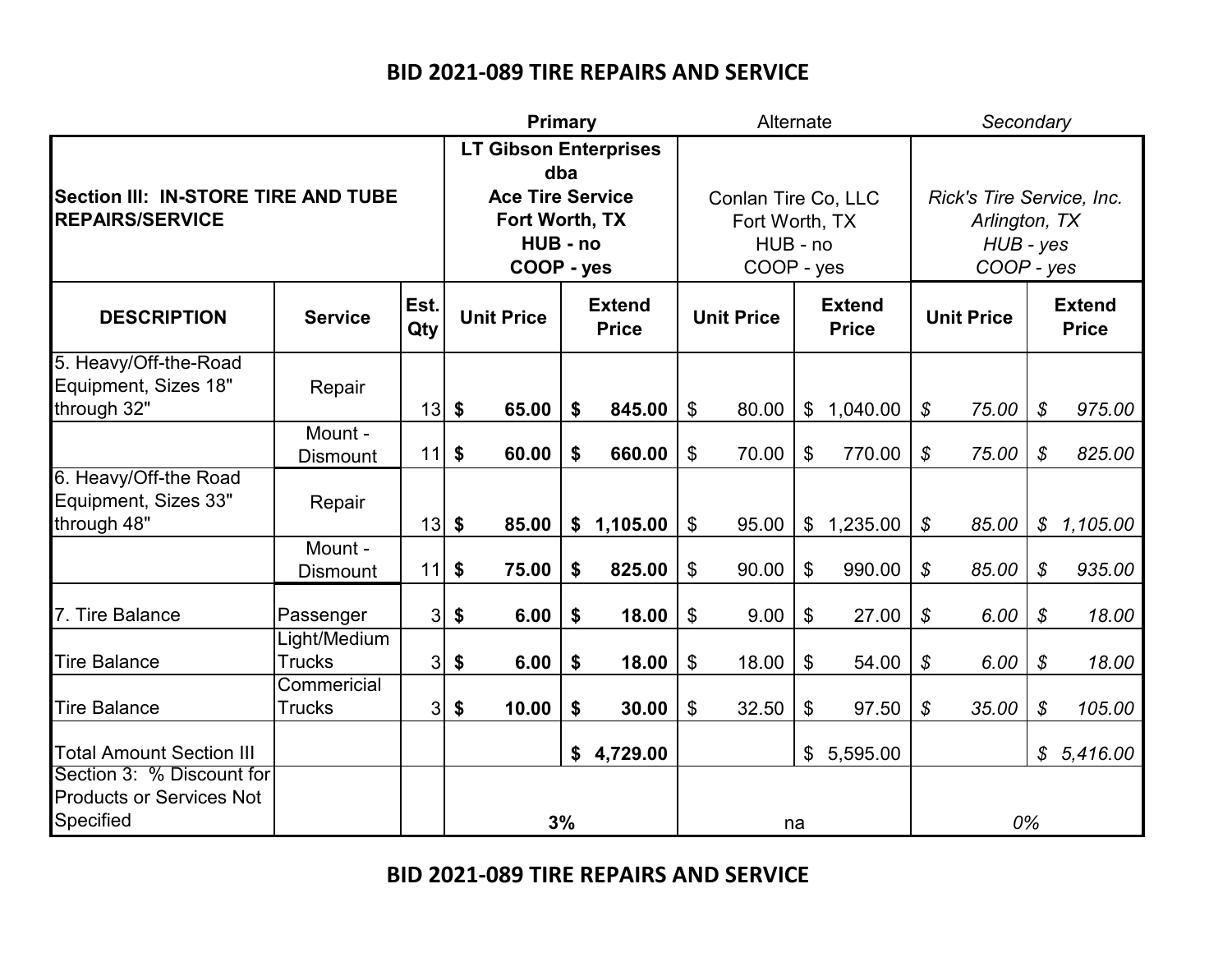|                                                                           |                               |             | Primary                                                                                                    |                   |    |                               |                           | Alternate                                                       |                |                               |                            | Secondary                                                             |                               |          |  |  |
|---------------------------------------------------------------------------|-------------------------------|-------------|------------------------------------------------------------------------------------------------------------|-------------------|----|-------------------------------|---------------------------|-----------------------------------------------------------------|----------------|-------------------------------|----------------------------|-----------------------------------------------------------------------|-------------------------------|----------|--|--|
| Section III: IN-STORE TIRE AND TUBE<br><b>REPAIRS/SERVICE</b>             |                               |             | <b>LT Gibson Enterprises</b><br>dba<br><b>Ace Tire Service</b><br>Fort Worth, TX<br>HUB - no<br>COOP - yes |                   |    |                               |                           |                                                                 |                |                               |                            |                                                                       |                               |          |  |  |
|                                                                           |                               |             |                                                                                                            |                   |    |                               |                           | Conlan Tire Co, LLC<br>Fort Worth, TX<br>HUB - no<br>COOP - yes |                |                               |                            | Rick's Tire Service, Inc.<br>Arlington, TX<br>HUB - yes<br>COOP - yes |                               |          |  |  |
| <b>DESCRIPTION</b>                                                        | <b>Service</b>                | Est.<br>Qty |                                                                                                            | <b>Unit Price</b> |    | <b>Extend</b><br><b>Price</b> |                           | <b>Unit Price</b>                                               |                | <b>Extend</b><br><b>Price</b> |                            | <b>Unit Price</b>                                                     | <b>Extend</b><br><b>Price</b> |          |  |  |
| 5. Heavy/Off-the-Road<br>Equipment, Sizes 18"<br>through 32"              | Repair                        | 13          | \$                                                                                                         | 65.00             | \$ | 845.00                        | $\boldsymbol{\mathsf{S}}$ | 80.00                                                           | $\mathfrak{S}$ | 1,040.00                      | \$                         | 75.00                                                                 | $\boldsymbol{\mathcal{S}}$    | 975.00   |  |  |
|                                                                           | Mount -<br><b>Dismount</b>    | 11          | \$                                                                                                         | 60.00             | \$ | 660.00                        | \$                        | 70.00                                                           | $\mathfrak{L}$ | 770.00                        | $\boldsymbol{\mathcal{S}}$ | 75.00                                                                 | $\boldsymbol{\mathcal{S}}$    | 825.00   |  |  |
| 6. Heavy/Off-the Road<br>Equipment, Sizes 33"<br>through 48"              | Repair                        | 13          | \$                                                                                                         | 85.00             |    | \$1,105.00                    | $\$\$                     | 95.00                                                           |                | \$1,235.00                    | $\boldsymbol{\mathcal{S}}$ | 85.00                                                                 | \$                            | 1,105.00 |  |  |
|                                                                           | Mount -<br><b>Dismount</b>    | 11          | \$                                                                                                         | 75.00             | \$ | 825.00                        | \$                        | 90.00                                                           | \$             | 990.00                        | \$                         | 85.00                                                                 | $\boldsymbol{\mathcal{S}}$    | 935.00   |  |  |
| 7. Tire Balance                                                           | Passenger                     | 3           | \$                                                                                                         | 6.00              | \$ | 18.00                         | $\boldsymbol{\mathsf{S}}$ | 9.00                                                            | $\$\$          | 27.00                         | \$                         | 6.00                                                                  | $\boldsymbol{\mathcal{S}}$    | 18.00    |  |  |
| <b>Tire Balance</b>                                                       | Light/Medium<br><b>Trucks</b> | 3           | \$                                                                                                         | 6.00              | \$ | 18.00                         | \$                        | 18.00                                                           | \$             | 54.00                         | $\boldsymbol{\mathcal{S}}$ | 6.00                                                                  | $\boldsymbol{\mathcal{S}}$    | 18.00    |  |  |
| <b>Tire Balance</b>                                                       | Commericial<br><b>Trucks</b>  | 3           | \$                                                                                                         | 10.00             | \$ | 30.00                         | $\mathfrak{S}$            | 32.50                                                           | \$             | 97.50                         | $\boldsymbol{\mathcal{S}}$ | 35.00                                                                 | $\boldsymbol{\mathcal{S}}$    | 105.00   |  |  |
| <b>Total Amount Section III</b>                                           |                               |             |                                                                                                            |                   | \$ | 4,729.00                      |                           |                                                                 | $\mathfrak{S}$ | 5,595.00                      |                            |                                                                       | \$                            | 5,416.00 |  |  |
| Section 3: % Discount for<br><b>Products or Services Not</b><br>Specified |                               |             | 3%                                                                                                         |                   |    | na                            |                           |                                                                 | 0%             |                               |                            |                                                                       |                               |          |  |  |

**BID 2021-089 TIRE REPAIRS AND SERVICE**